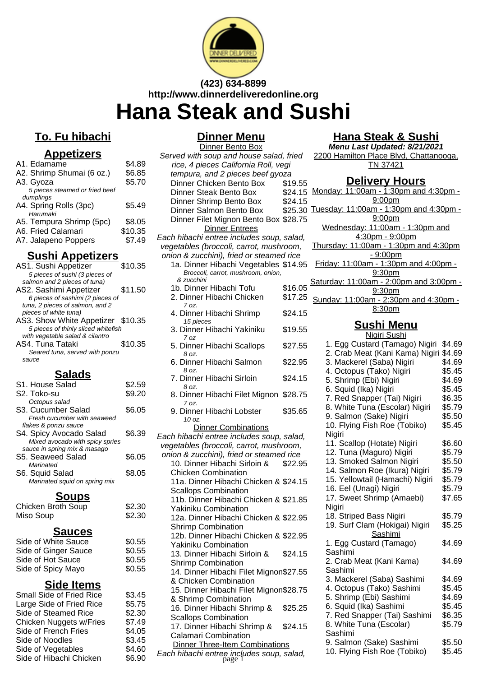

# **(423) 634-8899 http://www.dinnerdeliveredonline.org**

# **Hana Steak and Sushi**

# **To. Fu hibachi**

#### **Appetizers**

| A1. Edamame                    | \$4.89  |
|--------------------------------|---------|
| A2. Shrimp Shumai (6 oz.)      | \$6.85  |
| A3. Gyoza                      | \$5.70  |
| 5 pieces steamed or fried beef |         |
| dumplings                      |         |
| A4. Spring Rolls (3pc)         | \$5.49  |
| Harumaki                       |         |
| A5. Tempura Shrimp (5pc)       | \$8.05  |
| A6. Fried Calamari             | \$10.35 |
| A7. Jalapeno Poppers           | \$7.49  |
|                                |         |

#### **Sushi Appetizers**

| AS1. Sushi Appetizer                | \$10.35 |
|-------------------------------------|---------|
| 5 pieces of sushi (3 pieces of      |         |
| salmon and 2 pieces of tuna)        |         |
| AS2. Sashimi Appetizer              | \$11.50 |
| 6 pieces of sashimi (2 pieces of    |         |
| tuna, 2 pieces of salmon, and 2     |         |
| pieces of white tuna)               |         |
| AS3. Show White Appetizer \$10.35   |         |
| 5 pieces of thinly sliced whitefish |         |
| with vegetable salad & cilantro     |         |
| AS4. Tuna Tataki                    | \$10.35 |
| Seared tuna, served with ponzu      |         |
| sauce                               |         |
|                                     |         |

### **Salads**

| S1. House Salad                 | \$2.59 |
|---------------------------------|--------|
| S2. Toko-su                     | \$9.20 |
| Octopus salad                   |        |
| S3. Cucumber Salad              | \$6.05 |
| Fresh cucumber with seaweed     |        |
| flakes & ponzu sauce            |        |
| S4. Spicy Avocado Salad         | \$6.39 |
| Mixed avocado with spicy spries |        |
| sauce in spring mix & masago    |        |
| S5. Seaweed Salad               | \$6.05 |
| Marinated                       |        |
| S6. Squid Salad                 | \$8.05 |
| Marinated squid on spring mix   |        |
|                                 |        |

#### **Soups**

| Chicken Broth Soup | \$2.30 |
|--------------------|--------|
| Miso Soup          | \$2.30 |

#### **Sauces**

| Side of White Sauce  | \$0.55 |
|----------------------|--------|
| Side of Ginger Sauce | \$0.55 |
| Side of Hot Sauce    | \$0.55 |
| Side of Spicy Mayo   | \$0.55 |
|                      |        |

#### **Side Items**

 $$3.45$  $$5.75$  $$2.30$  $$7.49$  $$4.05$  $$3.45$  $$4.60$  $$6.90$ 

| <b>Small Side of Fried Rice</b> |
|---------------------------------|
| Large Side of Fried Rice        |
| Side of Steamed Rice            |
| Chicken Nuggets w/Fries         |
| Side of French Fries            |
| Side of Noodles                 |
| Side of Vegetables              |
| Side of Hibachi Chicken         |
|                                 |

#### **Dinner Menu**

| Dinner Bento Box                                |         |
|-------------------------------------------------|---------|
| Served with soup and house salad, fried         |         |
| rice, 4 pieces California Roll, vegi            |         |
| tempura, and 2 pieces beef gyoza                |         |
| Dinner Chicken Bento Box                        | \$19.55 |
| <b>Dinner Steak Bento Box</b>                   | \$24.15 |
| Dinner Shrimp Bento Box                         | \$24.15 |
| Dinner Salmon Bento Box                         | \$25.30 |
| Dinner Filet Mignon Bento Box \$28.75           |         |
| <b>Dinner Entrees</b>                           |         |
| Each hibachi entree includes soup, salad,       |         |
| vegetables (broccoli, carrot, mushroom,         |         |
| onion & zucchini), fried or steamed rice        |         |
| 1a. Dinner Hibachi Vegetables \$14.95           |         |
| Broccoli, carrot, mushroom, onion,              |         |
| & zucchini                                      |         |
| 1b. Dinner Hibachi Tofu                         | \$16.05 |
| 2. Dinner Hibachi Chicken                       | \$17.25 |
| 7 oz.                                           |         |
| 4. Dinner Hibachi Shrimp                        | \$24.15 |
| 15 pieces                                       |         |
| 3. Dinner Hibachi Yakiniku                      | \$19.55 |
| 7 oz<br>5. Dinner Hibachi Scallops              | \$27.55 |
| 8 oz.                                           |         |
| 6. Dinner Hibachi Salmon<br>8 oz.               | \$22.95 |
| 7. Dinner Hibachi Sirloin                       | \$24.15 |
| 8 oz.<br>8. Dinner Hibachi Filet Mignon \$28.75 |         |
| 7 oz.<br>9. Dinner Hibachi Lobster              | \$35.65 |
| 10 oz.                                          |         |
| <b>Dinner Combinations</b>                      |         |
| Each hibachi entree includes soup, salad,       |         |
| vegetables (broccoli, carrot, mushroom,         |         |
| onion & zucchini), fried or steamed rice        |         |
| 10. Dinner Hibachi Sirloin &                    | \$22.95 |
| <b>Chicken Combination</b>                      |         |
| 11a. Dinner Hibachi Chicken & \$24.15           |         |
| <b>Scallops Combination</b>                     |         |
| 11b. Dinner Hibachi Chicken & \$21.85           |         |
| Yakiniku Combination                            |         |
| 12a. Dinner Hibachi Chicken & \$22.95           |         |
| <b>Shrimp Combination</b>                       |         |
| 12b. Dinner Hibachi Chicken & \$22.95           |         |
| <b>Yakiniku Combination</b>                     |         |
| 13. Dinner Hibachi Sirloin &                    | \$24.15 |
| <b>Shrimp Combination</b>                       |         |
| 14. Dinner Hibachi Filet Mignon\$27.55          |         |
| & Chicken Combination                           |         |
| 15. Dinner Hibachi Filet Mignon\$28.75          |         |
| & Shrimp Combination                            |         |
| 16. Dinner Hibachi Shrimp &                     | \$25.25 |
| <b>Scallops Combination</b>                     |         |
| 17. Dinner Hibachi Shrimp &                     | \$24.15 |
| <b>Calamari Combination</b>                     |         |
| <b>Dinner Three-Item Combinations</b>           |         |
|                                                 |         |
| Each hibachi entree includes soup, salad,       |         |

## **Hana Steak & Sushi**

**Menu Last Updated: 8/21/2021** 2200 Hamilton Place Blvd, Chattanooga, TN 37421

#### **Delivery Hours**

Monday: 11:00am - 1:30pm and 4:30pm - 9:00pm Tuesday: 11:00am - 1:30pm and 4:30pm - 9:00pm Wednesday: 11:00am - 1:30pm and 4:30pm - 9:00pm Thursday: 11:00am - 1:30pm and 4:30pm - 9:00pm Friday: 11:00am - 1:30pm and 4:00pm - 9:30pm Saturday: 11:00am - 2:00pm and 3:00pm - 9:30pm Sunday: 11:00am - 2:30pm and 4:30pm - 8:30pm **Sushi Menu** Nigiri Sushi 1. Egg Custard (Tamago) Nigiri \$4.69 2. Crab Meat (Kani Kama) Nigiri \$4.69 3. Mackerel (Saba) Nigiri \$4.69 4. Octopus (Tako) Nigiri \$5.45 5. Shrimp (Ebi) Nigiri \$4.69 6. Squid (Ika) Nigiri \$5.45 7. Red Snapper (Tai) Nigiri \$6.35 8. White Tuna (Escolar) Nigiri \$5.79 9. Salmon (Sake) Nigiri \$5.50 10. Flying Fish Roe (Tobiko) Nigiri \$5.45 11. Scallop (Hotate) Nigiri \$6.60 12. Tuna (Maguro) Nigiri \$5.79 13. Smoked Salmon Nigiri \$5.50 14. Salmon Roe (Ikura) Nigiri \$5.79 15. Yellowtail (Hamachi) Nigiri \$5.79 16. Eel (Unagi) Nigiri  $$5.79$ 17. Sweet Shrimp (Amaebi) **Nigiri** \$7.65 18. Striped Bass Nigiri \$5.79 19. Surf Clam (Hokigai) Nigiri \$5.25 Sashimi 1. Egg Custard (Tamago) Sashimi \$4.69 2. Crab Meat (Kani Kama) Sashimi \$4.69 3. Mackerel (Saba) Sashimi \$4.69 4. Octopus (Tako) Sashimi \$5.45 5. Shrimp (Ebi) Sashimi \$4.69 6. Squid (Ika) Sashimi \$5.45 7. Red Snapper (Tai) Sashimi \$6.35 8. White Tuna (Escolar) Sashimi \$5.79 9. Salmon (Sake) Sashimi \$5.50 10. Flying Fish Roe (Tobiko) \$5.45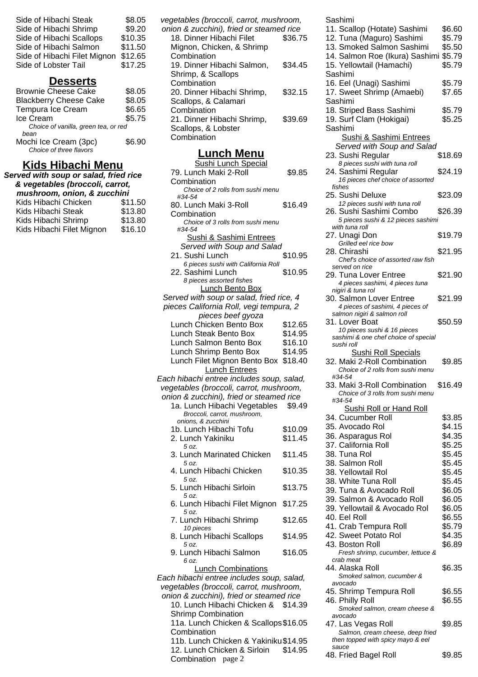| Side of Hibachi Steak        | \$8.05  |
|------------------------------|---------|
| Side of Hibachi Shrimp       | \$9.20  |
| Side of Hibachi Scallops     | \$10.35 |
| Side of Hibachi Salmon       | \$11.50 |
| Side of Hibachi Filet Mignon | \$12.65 |
| Side of Lobster Tail         | \$17.25 |
|                              |         |

# **Desserts**

| \$8.05                               |
|--------------------------------------|
| \$8.05                               |
| \$6.65                               |
| \$5.75                               |
| Choice of vanilla, green tea, or red |
|                                      |
| \$6.90                               |
|                                      |

# **Kids Hibachi Menu**

| Served with soup or salad, fried rice<br>& vegetables (broccoli, carrot,<br>mushroom, onion, & zucchini |                               |
|---------------------------------------------------------------------------------------------------------|-------------------------------|
| Kids Hibachi Chicken<br>Kids Hibachi Steak<br>Kids Hibachi Shrimp                                       | \$11.50<br>\$13.80<br>\$13.80 |
| Kids Hibachi Filet Mignon                                                                               | \$16.10                       |

| \$36.75 |
|---------|
|         |
|         |
| \$34.45 |
|         |
|         |
| \$32.15 |
|         |
|         |
| \$39.69 |
|         |
|         |
|         |

## **Lunch Menu**

| <u>Lunch wenu</u>                                      |         |
|--------------------------------------------------------|---------|
| <b>Sushi Lunch Special</b>                             |         |
| 79. Lunch Maki 2-Roll                                  | \$9.85  |
| Combination                                            |         |
| Choice of 2 rolls from sushi menu<br>#34-54            |         |
| 80. Lunch Maki 3-Roll                                  | \$16.49 |
| Combination<br>Choice of 3 rolls from sushi menu       |         |
| #34-54<br>Sushi & Sashimi Entrees                      |         |
| Served with Soup and Salad                             |         |
|                                                        |         |
| 21. Sushi Lunch<br>6 pieces sushi with California Roll | \$10.95 |
| 22. Sashimi Lunch                                      | \$10.95 |
| 8 pieces assorted fishes                               |         |
| <b>Lunch Bento Box</b>                                 |         |
| Served with soup or salad, fried rice, 4               |         |
| pieces California Roll, vegi tempura, 2                |         |
| pieces beef gyoza                                      |         |
| Lunch Chicken Bento Box                                | \$12.65 |
| Lunch Steak Bento Box                                  | \$14.95 |
| Lunch Salmon Bento Box                                 | \$16.10 |
| Lunch Shrimp Bento Box                                 | \$14.95 |
| Lunch Filet Mignon Bento Box                           | \$18.40 |
| <b>Lunch Entrees</b>                                   |         |
| Each hibachi entree includes soup, salad,              |         |
| vegetables (broccoli, carrot, mushroom,                |         |
| onion & zucchini), fried or steamed rice               |         |
| 1a. Lunch Hibachi Vegetables \$9.49                    |         |
| Broccoli, carrot, mushroom,                            |         |
| onions, & zucchini                                     |         |
| 1b. Lunch Hibachi Tofu                                 | \$10.09 |
| 2. Lunch Yakiniku<br>5 oz.                             | \$11.45 |
| 3. Lunch Marinated Chicken                             | \$11.45 |
| 5 oz.<br>4. Lunch Hibachi Chicken                      | \$10.35 |
| 5 oz.<br>5. Lunch Hibachi Sirloin                      | \$13.75 |
| 5 oz.<br>6. Lunch Hibachi Filet Mignon                 | \$17.25 |
| 5 oz.<br>7. Lunch Hibachi Shrimp                       | \$12.65 |
| 10 pieces                                              |         |
| 8. Lunch Hibachi Scallops<br>5 oz.                     | \$14.95 |
| 9. Lunch Hibachi Salmon<br>6 oz.                       | \$16.05 |
| <b>Lunch Combinations</b>                              |         |
| Each hibachi entree includes soup, salad,              |         |
| vegetables (broccoli, carrot, mushroom,                |         |
| onion & zucchini), fried or steamed rice               |         |
| 10. Lunch Hibachi Chicken & \$14.39                    |         |
| <b>Shrimp Combination</b>                              |         |
| 11a. Lunch Chicken & Scallops \$16.05                  |         |
| Combination                                            |         |
| 11b. Lunch Chicken & Yakiniku \$14.95                  |         |
| 12. Lunch Chicken & Sirloin                            | \$14.95 |

Combination page 2

| Sashimi                                                               |         |
|-----------------------------------------------------------------------|---------|
| 11. Scallop (Hotate) Sashimi                                          | \$6.60  |
| 12. Tuna (Maguro) Sashimi                                             | \$5.79  |
| 13. Smoked Salmon Sashimi                                             | \$5.50  |
| 14. Salmon Roe (Ikura) Sashimi                                        | \$5.79  |
| 15. Yellowtail (Hamachi)                                              | \$5.79  |
| Sashimi                                                               |         |
|                                                                       | \$5.79  |
| 16. Eel (Unagi) Sashimi<br>17. Sweet Shrimp (Amaebi)                  | \$7.65  |
|                                                                       |         |
| Sashimi                                                               |         |
| 18. Striped Bass Sashimi                                              | \$5.79  |
| 19. Surf Clam (Hokigai)                                               | \$5.25  |
| Sashimi                                                               |         |
| <b>Sushi &amp; Sashimi Entrees</b>                                    |         |
| Served with Soup and Salad                                            |         |
| 23. Sushi Regular                                                     | \$18.69 |
| 8 pieces sushi with tuna roll<br>24. Sashimi Regular                  | \$24.19 |
| 16 pieces chef choice of assorted                                     |         |
| fishes                                                                |         |
| 25. Sushi Deluxe                                                      | \$23.09 |
| 12 pieces sushi with tuna roll                                        |         |
| 26. Sushi Sashimi Combo                                               | \$26.39 |
| 5 pieces sushi & 12 pieces sashimi                                    |         |
| with tuna roll                                                        |         |
| 27. Unagi Don                                                         | \$19.79 |
| Grilled eel rice bow                                                  |         |
| 28. Chirashi<br>Chef's choice of assorted raw fish                    | \$21.95 |
| served on rice                                                        |         |
| 29. Tuna Lover Entree                                                 | \$21.90 |
| 4 pieces sashimi, 4 pieces tuna                                       |         |
| nigiri & tuna rol                                                     |         |
| 30. Salmon Lover Entree                                               | \$21.99 |
| 4 pieces of sashimi, 4 pieces of                                      |         |
| salmon nigiri & salmon roll                                           |         |
| 31. Lover Boat                                                        | \$50.59 |
| 10 pieces sushi & 16 pieces                                           |         |
|                                                                       |         |
| sashimi & one chef choice of special<br>sushi roll                    |         |
| <b>Sushi Roll Specials</b>                                            |         |
| 32. Maki 2-Roll Combination                                           | \$9.85  |
| Choice of 2 rolls from sushi menu                                     |         |
| #34-54                                                                |         |
| 33. Maki 3-Roll Combination                                           | \$16.49 |
| Choice of 3 rolls from sushi menu                                     |         |
| #34-54                                                                |         |
| <b>Sushi Roll or Hand Roll</b>                                        |         |
| 34. Cucumber Roll                                                     | \$3.85  |
| 35. Avocado Rol                                                       | \$4.15  |
| 36. Asparagus Rol                                                     | \$4.35  |
| 37. California Roll                                                   | \$5.25  |
| 38. Tuna Rol                                                          | \$5.45  |
| 38. Salmon Roll                                                       | \$5.45  |
| 38. Yellowtail Rol                                                    | \$5.45  |
| 38. White Tuna Roll                                                   | \$5.45  |
| 39. Tuna & Avocado Roll                                               | \$6.05  |
| 39. Salmon & Avocado Roll                                             | \$6.05  |
| 39. Yellowtail & Avocado Rol                                          | \$6.05  |
| 40. Eel Roll                                                          | \$6.55  |
| 41. Crab Tempura Roll                                                 | \$5.79  |
| 42. Sweet Potato Rol                                                  | \$4.35  |
| 43. Boston Roll                                                       | \$6.89  |
| Fresh shrimp, cucumber, lettuce &                                     |         |
| crab meat                                                             |         |
| 44. Alaska Roll                                                       | \$6.35  |
| Smoked salmon, cucumber &<br>avocado                                  |         |
| 45. Shrimp Tempura Roll                                               | \$6.55  |
| 46. Philly Roll                                                       | \$6.55  |
| Smoked salmon, cream cheese &                                         |         |
| avocado                                                               |         |
| 47. Las Vegas Roll                                                    | \$9.85  |
| Salmon, cream cheese, deep fried<br>then topped with spicy mayo & eel |         |

48. Fried Bagel Roll \$9.85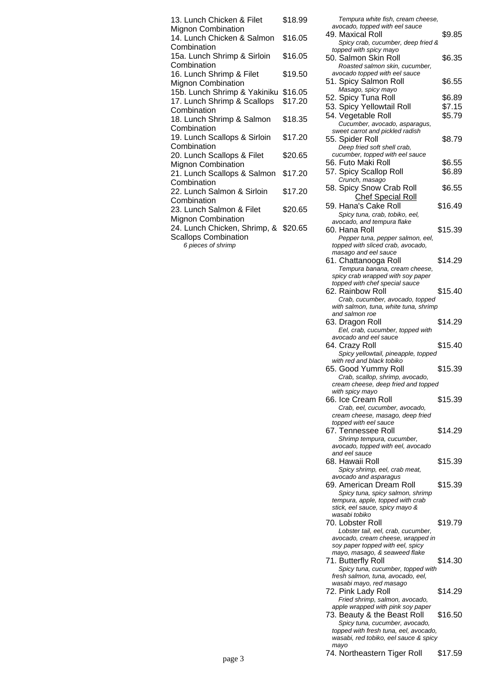| 13. Lunch Chicken & Filet                               | \$18.99 |
|---------------------------------------------------------|---------|
| <b>Mignon Combination</b><br>14. Lunch Chicken & Salmon | \$16.05 |
| Combination<br>15a. Lunch Shrimp & Sirloin              | \$16.05 |
| Combination                                             |         |
| 16. Lunch Shrimp & Filet                                | \$19.50 |
| <b>Mignon Combination</b>                               |         |
| 15b. Lunch Shrimp & Yakiniku                            | \$16.05 |
| 17. Lunch Shrimp & Scallops                             | \$17.20 |
| Combination                                             |         |
| 18. Lunch Shrimp & Salmon                               | \$18.35 |
| Combination                                             |         |
| 19. Lunch Scallops & Sirloin                            | \$17.20 |
| Combination                                             |         |
| 20. Lunch Scallops & Filet                              | \$20.65 |
| <b>Mignon Combination</b>                               |         |
| 21. Lunch Scallops & Salmon                             | \$17.20 |
| Combination                                             |         |
| 22. Lunch Salmon & Sirloin                              | \$17.20 |
| Combination                                             |         |
| 23. Lunch Salmon & Filet                                | \$20.65 |
| <b>Mignon Combination</b>                               |         |
| 24. Lunch Chicken, Shrimp, &                            | \$20.65 |
| <b>Scallops Combination</b>                             |         |

6 pieces of shrimp

Tempura white fish, cream cheese,

| avocado, topped with eel sauce                                                 |         |
|--------------------------------------------------------------------------------|---------|
| 49. Maxical Roll                                                               | \$9.85  |
| Spicy crab, cucumber, deep fried &<br>topped with spicy mayo                   |         |
| 50. Salmon Skin Roll                                                           | \$6.35  |
| Roasted salmon skin, cucumber,                                                 |         |
| avocado topped with eel sauce                                                  |         |
| 51. Spicy Salmon Roll<br>Masago, spicy mayo                                    | \$6.55  |
| 52. Spicy Tuna Roll                                                            | \$6.89  |
| 53. Spicy Yellowtail Roll                                                      | \$7.15  |
| 54. Vegetable Roll                                                             | \$5.79  |
| Cucumber, avocado, asparagus,                                                  |         |
| sweet carrot and pickled radish                                                |         |
| 55. Spider Roll                                                                | \$8.79  |
| Deep fried soft shell crab,<br>cucumber, topped with eel sauce                 |         |
| 56. Futo Maki Roll                                                             | \$6.55  |
| 57. Spicy Scallop Roll                                                         | \$6.89  |
| Crunch, masago                                                                 |         |
| 58. Spicy Snow Crab Roll                                                       | \$6.55  |
| <b>Chef Special Roll</b>                                                       |         |
| 59. Hana's Cake Roll                                                           | \$16.49 |
| Spicy tuna, crab, tobiko, eel,                                                 |         |
| avocado, and tempura flake<br>60. Hana Roll                                    | \$15.39 |
| Pepper tuna, pepper salmon, eel,                                               |         |
| topped with sliced crab, avocado,                                              |         |
| masago and eel sauce                                                           |         |
| 61. Chattanooga Roll                                                           | \$14.29 |
| Tempura banana, cream cheese,                                                  |         |
| spicy crab wrapped with soy paper<br>topped with chef special sauce            |         |
| 62. Rainbow Roll                                                               | \$15.40 |
| Crab, cucumber, avocado, topped                                                |         |
| with salmon, tuna, white tuna, shrimp                                          |         |
| and salmon roe<br>63. Dragon Roll                                              | \$14.29 |
|                                                                                |         |
|                                                                                |         |
| Eel, crab, cucumber, topped with<br>avocado and eel sauce                      |         |
| 64. Crazy Roll                                                                 | \$15.40 |
| Spicy yellowtail, pineapple, topped                                            |         |
| with red and black tobiko                                                      |         |
| 65. Good Yummy Roll                                                            | \$15.39 |
| Crab, scallop, shrimp, avocado,<br>cream cheese, deep tried and topped         |         |
| with spicy mayo                                                                |         |
| 66. Ice Cream Roll                                                             | \$15.39 |
| Crab, eel, cucumber, avocado,                                                  |         |
| cream cheese, masago, deep fried                                               |         |
| topped with eel sauce<br>67. Tennessee Roll                                    | \$14.29 |
| Shrimp tempura, cucumber,                                                      |         |
| avocado, topped with eel, avocado                                              |         |
| and eel sauce                                                                  |         |
| 68. Hawaii Roll                                                                | \$15.39 |
| Spicy shrimp, eel, crab meat,<br>avocado and asparagus                         |         |
| 69. American Dream Roll                                                        | \$15.39 |
| Spicy tuna, spicy salmon, shrimp                                               |         |
| tempura, apple, topped with crab                                               |         |
| stick, eel sauce, spicy mayo &<br>wasabi tobiko                                |         |
| 70. Lobster Roll                                                               | \$19.79 |
| Lobster tail, eel, crab, cucumber,                                             |         |
| avocado, cream cheese, wrapped in                                              |         |
| soy paper topped with eel, spicy                                               |         |
| mayo, masago, & seaweed flake<br>71. Butterfly Roll                            | \$14.30 |
| Spicy tuna, cucumber, topped with                                              |         |
| fresh salmon, tuna, avocado, eel,                                              |         |
| wasabi mayo, red masago                                                        |         |
| 72. Pink Lady Roll<br>Fried shrimp, salmon, avocado,                           | \$14.29 |
| apple wrapped with pink soy paper                                              |         |
| 73. Beauty & the Beast Roll                                                    | \$16.50 |
| Spicy tuna, cucumber, avocado,                                                 |         |
| topped with fresh tuna, eel, avocado,<br>wasabi, red tobiko, eel sauce & spicy |         |

74. Northeastern Tiger Roll \$17.59